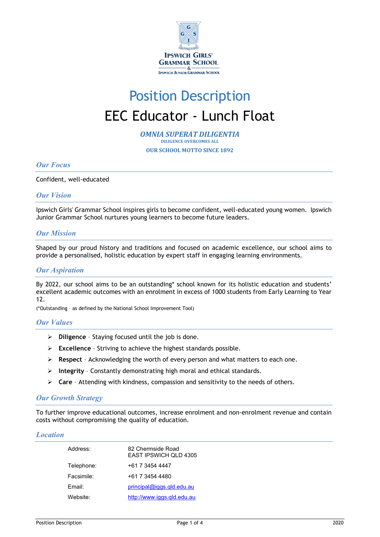

# Position Description EEC Educator - Lunch Float

*OMNIA SUPERAT DILIGENTIA* **DILIGENCE OVERCOMES ALL** 

**OUR SCHOOL MOTTO SINCE 1892**

# *Our Focus*

#### Confident, well-educated

# *Our Vision*

Ipswich Girls' Grammar School inspires girls to become confident, well-educated young women. Ipswich Junior Grammar School nurtures young learners to become future leaders.

#### *Our Mission*

Shaped by our proud history and traditions and focused on academic excellence, our school aims to provide a personalised, holistic education by expert staff in engaging learning environments.

### *Our Aspiration*

By 2022, our school aims to be an outstanding\* school known for its holistic education and students' excellent academic outcomes with an enrolment in excess of 1000 students from Early Learning to Year 12.

(\*Outstanding – as defined by the National School Improvement Tool)

#### *Our Values*

- **Diligence**  Staying focused until the job is done.
- **Excellence** Striving to achieve the highest standards possible.
- **Respect**  Acknowledging the worth of every person and what matters to each one.
- **Integrity** Constantly demonstrating high moral and ethical standards.
- **Care** Attending with kindness, compassion and sensitivity to the needs of others.

#### *Our Growth Strategy*

To further improve educational outcomes, increase enrolment and non-enrolment revenue and contain costs without compromising the quality of education.

#### *Location*

| Address:   | 82 Chermside Road<br><b>EAST IPSWICH OLD 4305</b> |
|------------|---------------------------------------------------|
| Telephone: | +61 7 3454 4447                                   |
| Facsimile: | +61 7 3454 4480                                   |
| $F$ mail:  | $principal@iggs$ .gld.edu.au                      |
| Website:   | http://www.iggs.gld.edu.au                        |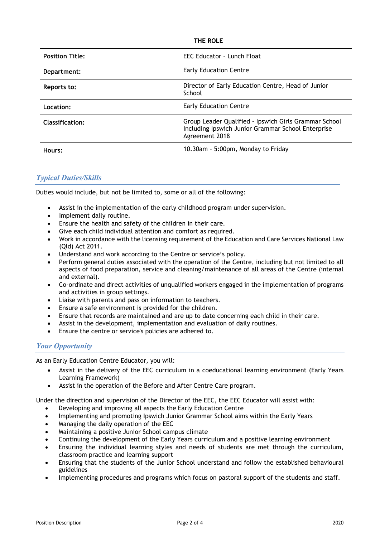| THE ROLE               |                                                                                                                               |
|------------------------|-------------------------------------------------------------------------------------------------------------------------------|
| <b>Position Title:</b> | EEC Educator - Lunch Float                                                                                                    |
| Department:            | <b>Early Education Centre</b>                                                                                                 |
| Reports to:            | Director of Early Education Centre, Head of Junior<br>School                                                                  |
| Location:              | <b>Early Education Centre</b>                                                                                                 |
| <b>Classification:</b> | Group Leader Qualified - Ipswich Girls Grammar School<br>Including Ipswich Junior Grammar School Enterprise<br>Agreement 2018 |
| Hours:                 | 10.30am - 5:00pm, Monday to Friday                                                                                            |

# *Typical Duties/Skills*

Duties would include, but not be limited to, some or all of the following:

- Assist in the implementation of the early childhood program under supervision.
- Implement daily routine.
- Ensure the health and safety of the children in their care.
- Give each child individual attention and comfort as required.
- Work in accordance with the licensing requirement of the Education and Care Services National Law (Qld) Act 2011.
- Understand and work according to the Centre or service's policy.
- Perform general duties associated with the operation of the Centre, including but not limited to all aspects of food preparation, service and cleaning/maintenance of all areas of the Centre (internal and external).
- Co-ordinate and direct activities of unqualified workers engaged in the implementation of programs and activities in group settings.
- Liaise with parents and pass on information to teachers.
- Ensure a safe environment is provided for the children.
- Ensure that records are maintained and are up to date concerning each child in their care.
- Assist in the development, implementation and evaluation of daily routines.
- Ensure the centre or service's policies are adhered to.

# *Your Opportunity*

As an Early Education Centre Educator, you will:

- Assist in the delivery of the EEC curriculum in a coeducational learning environment (Early Years Learning Framework)
- Assist in the operation of the Before and After Centre Care program.

Under the direction and supervision of the Director of the EEC, the EEC Educator will assist with:

- Developing and improving all aspects the Early Education Centre
- Implementing and promoting Ipswich Junior Grammar School aims within the Early Years
- Managing the daily operation of the EEC
- Maintaining a positive Junior School campus climate
- Continuing the development of the Early Years curriculum and a positive learning environment
- Ensuring the individual learning styles and needs of students are met through the curriculum, classroom practice and learning support
- Ensuring that the students of the Junior School understand and follow the established behavioural guidelines
- Implementing procedures and programs which focus on pastoral support of the students and staff.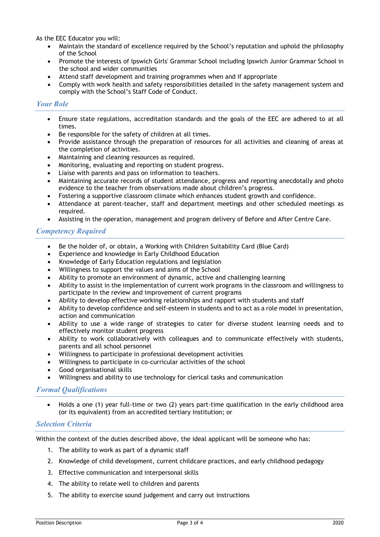As the EEC Educator you will:

- Maintain the standard of excellence required by the School's reputation and uphold the philosophy of the School
- Promote the interests of Ipswich Girls' Grammar School including Ipswich Junior Grammar School in the school and wider communities
- Attend staff development and training programmes when and if appropriate
- Comply with work health and safety responsibilities detailed in the safety management system and comply with the School's Staff Code of Conduct.

## *Your Role*

- Ensure state regulations, accreditation standards and the goals of the EEC are adhered to at all times.
- Be responsible for the safety of children at all times.
- Provide assistance through the preparation of resources for all activities and cleaning of areas at the completion of activities.
- Maintaining and cleaning resources as required.
- Monitoring, evaluating and reporting on student progress.
- Liaise with parents and pass on information to teachers.
- Maintaining accurate records of student attendance, progress and reporting anecdotally and photo evidence to the teacher from observations made about children's progress.
- Fostering a supportive classroom climate which enhances student growth and confidence.
- Attendance at parent-teacher, staff and department meetings and other scheduled meetings as required.
- Assisting in the operation, management and program delivery of Before and After Centre Care.

# *Competency Required*

- Be the holder of, or obtain, a Working with Children Suitability Card (Blue Card)
- Experience and knowledge in Early Childhood Education
- Knowledge of Early Education regulations and legislation
- Willingness to support the values and aims of the School
- Ability to promote an environment of dynamic, active and challenging learning
- Ability to assist in the implementation of current work programs in the classroom and willingness to participate in the review and improvement of current programs
- Ability to develop effective working relationships and rapport with students and staff
- Ability to develop confidence and self-esteem in students and to act as a role model in presentation, action and communication
- Ability to use a wide range of strategies to cater for diverse student learning needs and to effectively monitor student progress
- Ability to work collaboratively with colleagues and to communicate effectively with students, parents and all school personnel
- Willingness to participate in professional development activities
- Willingness to participate in co-curricular activities of the school
- Good organisational skills
- Willingness and ability to use technology for clerical tasks and communication

# *Formal Qualifications*

• Holds a one (1) year full-time or two (2) years part-time qualification in the early childhood area (or its equivalent) from an accredited tertiary institution; or

#### *Selection Criteria*

Within the context of the duties described above, the ideal applicant will be someone who has:

- 1. The ability to work as part of a dynamic staff
- 2. Knowledge of child development, current childcare practices, and early childhood pedagogy
- 3. Effective communication and interpersonal skills
- 4. The ability to relate well to children and parents
- 5. The ability to exercise sound judgement and carry out instructions